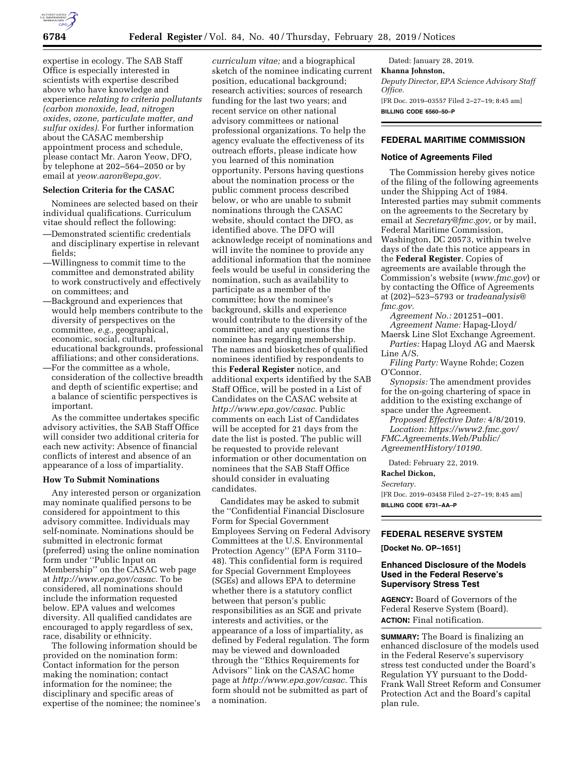

expertise in ecology. The SAB Staff Office is especially interested in scientists with expertise described above who have knowledge and experience *relating to criteria pollutants (carbon monoxide, lead, nitrogen oxides, ozone, particulate matter, and sulfur oxides).* For further information about the CASAC membership appointment process and schedule, please contact Mr. Aaron Yeow, DFO, by telephone at 202–564–2050 or by email at *[yeow.aaron@epa,gov.](mailto:yeow.aaron@epa.gov)* 

## **Selection Criteria for the CASAC**

Nominees are selected based on their individual qualifications. Curriculum vitae should reflect the following:

- —Demonstrated scientific credentials and disciplinary expertise in relevant fields;
- —Willingness to commit time to the committee and demonstrated ability to work constructively and effectively on committees; and
- —Background and experiences that would help members contribute to the diversity of perspectives on the committee, *e.g.,* geographical, economic, social, cultural, educational backgrounds, professional affiliations; and other considerations.
- —For the committee as a whole, consideration of the collective breadth and depth of scientific expertise; and a balance of scientific perspectives is important.

As the committee undertakes specific advisory activities, the SAB Staff Office will consider two additional criteria for each new activity: Absence of financial conflicts of interest and absence of an appearance of a loss of impartiality.

#### **How To Submit Nominations**

Any interested person or organization may nominate qualified persons to be considered for appointment to this advisory committee. Individuals may self-nominate. Nominations should be submitted in electronic format (preferred) using the online nomination form under ''Public Input on Membership'' on the CASAC web page at *[http://www.epa.gov/casac.](http://www.epa.gov/casac)* To be considered, all nominations should include the information requested below. EPA values and welcomes diversity. All qualified candidates are encouraged to apply regardless of sex, race, disability or ethnicity.

The following information should be provided on the nomination form: Contact information for the person making the nomination; contact information for the nominee; the disciplinary and specific areas of expertise of the nominee; the nominee's

*curriculum vitae;* and a biographical sketch of the nominee indicating current position, educational background; research activities; sources of research funding for the last two years; and recent service on other national advisory committees or national professional organizations. To help the agency evaluate the effectiveness of its outreach efforts, please indicate how you learned of this nomination opportunity. Persons having questions about the nomination process or the public comment process described below, or who are unable to submit nominations through the CASAC website, should contact the DFO, as identified above. The DFO will acknowledge receipt of nominations and will invite the nominee to provide any additional information that the nominee feels would be useful in considering the nomination, such as availability to participate as a member of the committee; how the nominee's background, skills and experience would contribute to the diversity of the committee; and any questions the nominee has regarding membership. The names and biosketches of qualified nominees identified by respondents to this **Federal Register** notice, and additional experts identified by the SAB Staff Office, will be posted in a List of Candidates on the CASAC website at *[http://www.epa.gov/casac.](http://www.epa.gov/casac)* Public comments on each List of Candidates will be accepted for 21 days from the date the list is posted. The public will be requested to provide relevant information or other documentation on nominees that the SAB Staff Office should consider in evaluating candidates.

Candidates may be asked to submit the ''Confidential Financial Disclosure Form for Special Government Employees Serving on Federal Advisory Committees at the U.S. Environmental Protection Agency'' (EPA Form 3110– 48). This confidential form is required for Special Government Employees (SGEs) and allows EPA to determine whether there is a statutory conflict between that person's public responsibilities as an SGE and private interests and activities, or the appearance of a loss of impartiality, as defined by Federal regulation. The form may be viewed and downloaded through the ''Ethics Requirements for Advisors'' link on the CASAC home page at *[http://www.epa.gov/casac.](http://www.epa.gov/casac)* This form should not be submitted as part of a nomination.

Dated: January 28, 2019. **Khanna Johnston,**  *Deputy Director, EPA Science Advisory Staff Office.*  [FR Doc. 2019–03557 Filed 2–27–19; 8:45 am] **BILLING CODE 6560–50–P** 

# **FEDERAL MARITIME COMMISSION**

## **Notice of Agreements Filed**

The Commission hereby gives notice of the filing of the following agreements under the Shipping Act of 1984. Interested parties may submit comments on the agreements to the Secretary by email at *[Secretary@fmc.gov,](mailto:Secretary@fmc.gov)* or by mail, Federal Maritime Commission, Washington, DC 20573, within twelve days of the date this notice appears in the **Federal Register**. Copies of agreements are available through the Commission's website (*[www.fmc.gov](http://www.fmc.gov)*) or by contacting the Office of Agreements at (202)–523–5793 or *[tradeanalysis@](mailto:tradeanalysis@fmc.gov) [fmc.gov.](mailto:tradeanalysis@fmc.gov)* 

*Agreement No.:* 201251–001. *Agreement Name:* Hapag-Lloyd/ Maersk Line Slot Exchange Agreement. *Parties:* Hapag Lloyd AG and Maersk

Line A/S.

*Filing Party:* Wayne Rohde; Cozen O'Connor.

*Synopsis:* The amendment provides for the on-going chartering of space in addition to the existing exchange of space under the Agreement.

*Proposed Effective Date:* 4/8/2019. *Location: [https://www2.fmc.gov/](https://www2.fmc.gov/FMC.Agreements.Web/Public/AgreementHistory/10190) [FMC.Agreements.Web/Public/](https://www2.fmc.gov/FMC.Agreements.Web/Public/AgreementHistory/10190) [AgreementHistory/10190.](https://www2.fmc.gov/FMC.Agreements.Web/Public/AgreementHistory/10190)* 

Dated: February 22, 2019.

**Rachel Dickon,** 

### *Secretary.*

[FR Doc. 2019–03458 Filed 2–27–19; 8:45 am] **BILLING CODE 6731–AA–P** 

## **FEDERAL RESERVE SYSTEM**

**[Docket No. OP–1651]** 

## **Enhanced Disclosure of the Models Used in the Federal Reserve's Supervisory Stress Test**

**AGENCY:** Board of Governors of the Federal Reserve System (Board). **ACTION:** Final notification.

**SUMMARY:** The Board is finalizing an enhanced disclosure of the models used in the Federal Reserve's supervisory stress test conducted under the Board's Regulation YY pursuant to the Dodd-Frank Wall Street Reform and Consumer Protection Act and the Board's capital plan rule.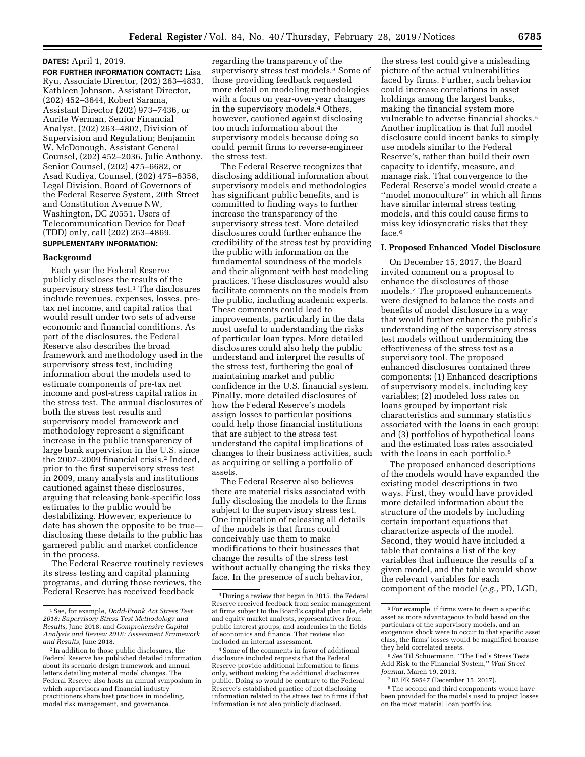#### **DATES:** April 1, 2019.

**FOR FURTHER INFORMATION CONTACT:** Lisa Ryu, Associate Director, (202) 263–4833, Kathleen Johnson, Assistant Director, (202) 452–3644, Robert Sarama, Assistant Director (202) 973–7436, or Aurite Werman, Senior Financial Analyst, (202) 263–4802, Division of Supervision and Regulation; Benjamin W. McDonough, Assistant General Counsel, (202) 452–2036, Julie Anthony, Senior Counsel, (202) 475–6682, or Asad Kudiya, Counsel, (202) 475–6358, Legal Division, Board of Governors of the Federal Reserve System, 20th Street and Constitution Avenue NW, Washington, DC 20551. Users of Telecommunication Device for Deaf (TDD) only, call (202) 263–4869.

# **SUPPLEMENTARY INFORMATION:**

## **Background**

Each year the Federal Reserve publicly discloses the results of the supervisory stress test.<sup>1</sup> The disclosures include revenues, expenses, losses, pretax net income, and capital ratios that would result under two sets of adverse economic and financial conditions. As part of the disclosures, the Federal Reserve also describes the broad framework and methodology used in the supervisory stress test, including information about the models used to estimate components of pre-tax net income and post-stress capital ratios in the stress test. The annual disclosures of both the stress test results and supervisory model framework and methodology represent a significant increase in the public transparency of large bank supervision in the U.S. since the 2007–2009 financial crisis.2 Indeed, prior to the first supervisory stress test in 2009, many analysts and institutions cautioned against these disclosures, arguing that releasing bank-specific loss estimates to the public would be destabilizing. However, experience to date has shown the opposite to be true disclosing these details to the public has garnered public and market confidence in the process.

The Federal Reserve routinely reviews its stress testing and capital planning programs, and during those reviews, the Federal Reserve has received feedback

regarding the transparency of the supervisory stress test models.3 Some of those providing feedback requested more detail on modeling methodologies with a focus on year-over-year changes in the supervisory models.4 Others, however, cautioned against disclosing too much information about the supervisory models because doing so could permit firms to reverse-engineer the stress test.

The Federal Reserve recognizes that disclosing additional information about supervisory models and methodologies has significant public benefits, and is committed to finding ways to further increase the transparency of the supervisory stress test. More detailed disclosures could further enhance the credibility of the stress test by providing the public with information on the fundamental soundness of the models and their alignment with best modeling practices. These disclosures would also facilitate comments on the models from the public, including academic experts. These comments could lead to improvements, particularly in the data most useful to understanding the risks of particular loan types. More detailed disclosures could also help the public understand and interpret the results of the stress test, furthering the goal of maintaining market and public confidence in the U.S. financial system. Finally, more detailed disclosures of how the Federal Reserve's models assign losses to particular positions could help those financial institutions that are subject to the stress test understand the capital implications of changes to their business activities, such as acquiring or selling a portfolio of assets.

The Federal Reserve also believes there are material risks associated with fully disclosing the models to the firms subject to the supervisory stress test. One implication of releasing all details of the models is that firms could conceivably use them to make modifications to their businesses that change the results of the stress test without actually changing the risks they face. In the presence of such behavior,

the stress test could give a misleading picture of the actual vulnerabilities faced by firms. Further, such behavior could increase correlations in asset holdings among the largest banks, making the financial system more vulnerable to adverse financial shocks.<sup>5</sup> Another implication is that full model disclosure could incent banks to simply use models similar to the Federal Reserve's, rather than build their own capacity to identify, measure, and manage risk. That convergence to the Federal Reserve's model would create a ''model monoculture'' in which all firms have similar internal stress testing models, and this could cause firms to miss key idiosyncratic risks that they face.<sup>6</sup>

#### **I. Proposed Enhanced Model Disclosure**

On December 15, 2017, the Board invited comment on a proposal to enhance the disclosures of those models.7 The proposed enhancements were designed to balance the costs and benefits of model disclosure in a way that would further enhance the public's understanding of the supervisory stress test models without undermining the effectiveness of the stress test as a supervisory tool. The proposed enhanced disclosures contained three components: (1) Enhanced descriptions of supervisory models, including key variables; (2) modeled loss rates on loans grouped by important risk characteristics and summary statistics associated with the loans in each group; and (3) portfolios of hypothetical loans and the estimated loss rates associated with the loans in each portfolio.<sup>8</sup>

The proposed enhanced descriptions of the models would have expanded the existing model descriptions in two ways. First, they would have provided more detailed information about the structure of the models by including certain important equations that characterize aspects of the model. Second, they would have included a table that contains a list of the key variables that influence the results of a given model, and the table would show the relevant variables for each component of the model (*e.g.,* PD, LGD,

<sup>1</sup>See, for example, *Dodd-Frank Act Stress Test 2018: Supervisory Stress Test Methodology and Results,* June 2018, and *Comprehensive Capital Analysis and Review 2018: Assessment Framework and Results,* June 2018.

<sup>2</sup> In addition to those public disclosures, the Federal Reserve has published detailed information about its scenario design framework and annual letters detailing material model changes. The Federal Reserve also hosts an annual symposium in which supervisors and financial industry practitioners share best practices in modeling, model risk management, and governance.

<sup>3</sup> During a review that began in 2015, the Federal Reserve received feedback from senior management at firms subject to the Board's capital plan rule, debt and equity market analysts, representatives from public interest groups, and academics in the fields of economics and finance. That review also included an internal assessment.

<sup>4</sup>Some of the comments in favor of additional disclosure included requests that the Federal Reserve provide additional information to firms only, without making the additional disclosures public. Doing so would be contrary to the Federal Reserve's established practice of not disclosing information related to the stress test to firms if that information is not also publicly disclosed.

<sup>5</sup>For example, if firms were to deem a specific asset as more advantageous to hold based on the particulars of the supervisory models, and an exogenous shock were to occur to that specific asset class, the firms' losses would be magnified because they held correlated assets.

<sup>6</sup>*See* Til Schuermann, ''The Fed's Stress Tests Add Risk to the Financial System,'' *Wall Street Journal,* March 19, 2013.

<sup>7</sup> 82 FR 59547 (December 15, 2017).

<sup>8</sup>The second and third components would have been provided for the models used to project losses on the most material loan portfolios.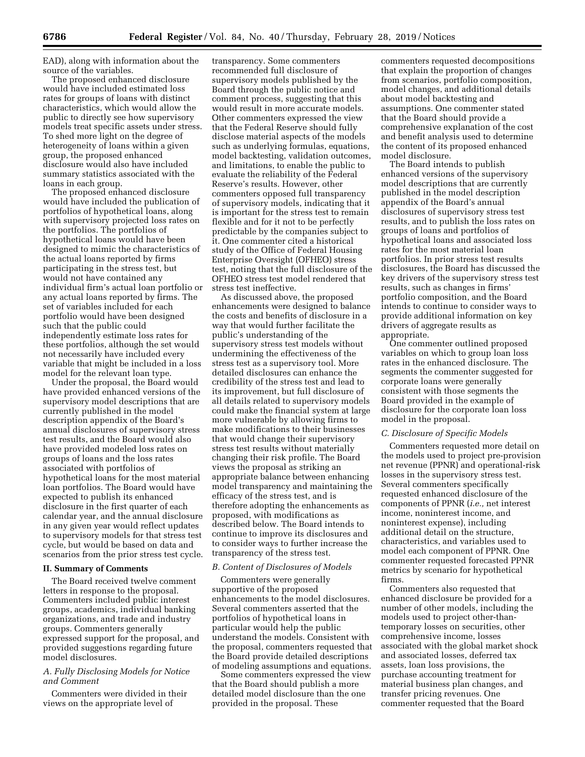EAD), along with information about the source of the variables.

The proposed enhanced disclosure would have included estimated loss rates for groups of loans with distinct characteristics, which would allow the public to directly see how supervisory models treat specific assets under stress. To shed more light on the degree of heterogeneity of loans within a given group, the proposed enhanced disclosure would also have included summary statistics associated with the loans in each group.

The proposed enhanced disclosure would have included the publication of portfolios of hypothetical loans, along with supervisory projected loss rates on the portfolios. The portfolios of hypothetical loans would have been designed to mimic the characteristics of the actual loans reported by firms participating in the stress test, but would not have contained any individual firm's actual loan portfolio or any actual loans reported by firms. The set of variables included for each portfolio would have been designed such that the public could independently estimate loss rates for these portfolios, although the set would not necessarily have included every variable that might be included in a loss model for the relevant loan type.

Under the proposal, the Board would have provided enhanced versions of the supervisory model descriptions that are currently published in the model description appendix of the Board's annual disclosures of supervisory stress test results, and the Board would also have provided modeled loss rates on groups of loans and the loss rates associated with portfolios of hypothetical loans for the most material loan portfolios. The Board would have expected to publish its enhanced disclosure in the first quarter of each calendar year, and the annual disclosure in any given year would reflect updates to supervisory models for that stress test cycle, but would be based on data and scenarios from the prior stress test cycle.

## **II. Summary of Comments**

The Board received twelve comment letters in response to the proposal. Commenters included public interest groups, academics, individual banking organizations, and trade and industry groups. Commenters generally expressed support for the proposal, and provided suggestions regarding future model disclosures.

## *A. Fully Disclosing Models for Notice and Comment*

Commenters were divided in their views on the appropriate level of

transparency. Some commenters recommended full disclosure of supervisory models published by the Board through the public notice and comment process, suggesting that this would result in more accurate models. Other commenters expressed the view that the Federal Reserve should fully disclose material aspects of the models such as underlying formulas, equations, model backtesting, validation outcomes, and limitations, to enable the public to evaluate the reliability of the Federal Reserve's results. However, other commenters opposed full transparency of supervisory models, indicating that it is important for the stress test to remain flexible and for it not to be perfectly predictable by the companies subject to it. One commenter cited a historical study of the Office of Federal Housing Enterprise Oversight (OFHEO) stress test, noting that the full disclosure of the OFHEO stress test model rendered that stress test ineffective.

As discussed above, the proposed enhancements were designed to balance the costs and benefits of disclosure in a way that would further facilitate the public's understanding of the supervisory stress test models without undermining the effectiveness of the stress test as a supervisory tool. More detailed disclosures can enhance the credibility of the stress test and lead to its improvement, but full disclosure of all details related to supervisory models could make the financial system at large more vulnerable by allowing firms to make modifications to their businesses that would change their supervisory stress test results without materially changing their risk profile. The Board views the proposal as striking an appropriate balance between enhancing model transparency and maintaining the efficacy of the stress test, and is therefore adopting the enhancements as proposed, with modifications as described below. The Board intends to continue to improve its disclosures and to consider ways to further increase the transparency of the stress test.

### *B. Content of Disclosures of Models*

Commenters were generally supportive of the proposed enhancements to the model disclosures. Several commenters asserted that the portfolios of hypothetical loans in particular would help the public understand the models. Consistent with the proposal, commenters requested that the Board provide detailed descriptions of modeling assumptions and equations.

Some commenters expressed the view that the Board should publish a more detailed model disclosure than the one provided in the proposal. These

commenters requested decompositions that explain the proportion of changes from scenarios, portfolio composition, model changes, and additional details about model backtesting and assumptions. One commenter stated that the Board should provide a comprehensive explanation of the cost and benefit analysis used to determine the content of its proposed enhanced model disclosure.

The Board intends to publish enhanced versions of the supervisory model descriptions that are currently published in the model description appendix of the Board's annual disclosures of supervisory stress test results, and to publish the loss rates on groups of loans and portfolios of hypothetical loans and associated loss rates for the most material loan portfolios. In prior stress test results disclosures, the Board has discussed the key drivers of the supervisory stress test results, such as changes in firms' portfolio composition, and the Board intends to continue to consider ways to provide additional information on key drivers of aggregate results as appropriate.

One commenter outlined proposed variables on which to group loan loss rates in the enhanced disclosure. The segments the commenter suggested for corporate loans were generally consistent with those segments the Board provided in the example of disclosure for the corporate loan loss model in the proposal.

#### *C. Disclosure of Specific Models*

Commenters requested more detail on the models used to project pre-provision net revenue (PPNR) and operational-risk losses in the supervisory stress test. Several commenters specifically requested enhanced disclosure of the components of PPNR (*i.e.,* net interest income, noninterest income, and noninterest expense), including additional detail on the structure, characteristics, and variables used to model each component of PPNR. One commenter requested forecasted PPNR metrics by scenario for hypothetical firms.

Commenters also requested that enhanced disclosure be provided for a number of other models, including the models used to project other-thantemporary losses on securities, other comprehensive income, losses associated with the global market shock and associated losses, deferred tax assets, loan loss provisions, the purchase accounting treatment for material business plan changes, and transfer pricing revenues. One commenter requested that the Board